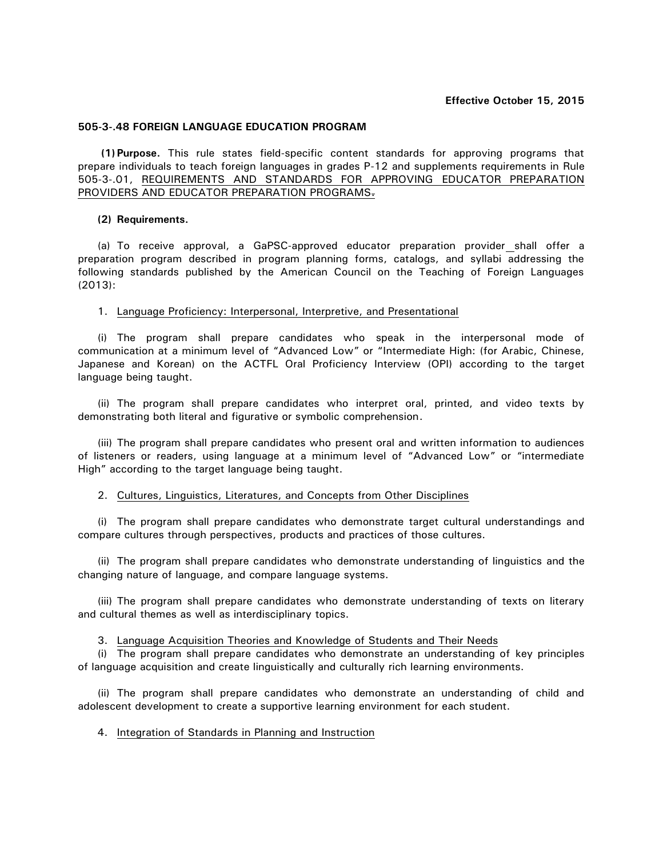# **Effective October 15, 2015**

## **505-3-.48 FOREIGN LANGUAGE EDUCATION PROGRAM**

**(1) Purpose.** This rule states field-specific content standards for approving programs that prepare individuals to teach foreign languages in grades P-12 and supplements requirements in Rule 505-3-.01, REQUIREMENTS AND STANDARDS FOR APPROVING EDUCATOR PREPARATION PROVIDERS AND EDUCATOR PREPARATION PROGRAMS.

## **(2) Requirements.**

(a) To receive approval, a GaPSC-approved educator preparation provider shall offer a preparation program described in program planning forms, catalogs, and syllabi addressing the following standards published by the American Council on the Teaching of Foreign Languages (2013):

### 1. Language Proficiency: Interpersonal, Interpretive, and Presentational

(i) The program shall prepare candidates who speak in the interpersonal mode of communication at a minimum level of "Advanced Low" or "Intermediate High: (for Arabic, Chinese, Japanese and Korean) on the ACTFL Oral Proficiency Interview (OPI) according to the target language being taught.

(ii) The program shall prepare candidates who interpret oral, printed, and video texts by demonstrating both literal and figurative or symbolic comprehension.

(iii) The program shall prepare candidates who present oral and written information to audiences of listeners or readers, using language at a minimum level of "Advanced Low" or "intermediate High" according to the target language being taught.

## 2. Cultures, Linguistics, Literatures, and Concepts from Other Disciplines

(i) The program shall prepare candidates who demonstrate target cultural understandings and compare cultures through perspectives, products and practices of those cultures.

(ii) The program shall prepare candidates who demonstrate understanding of linguistics and the changing nature of language, and compare language systems.

(iii) The program shall prepare candidates who demonstrate understanding of texts on literary and cultural themes as well as interdisciplinary topics.

3. Language Acquisition Theories and Knowledge of Students and Their Needs

(i) The program shall prepare candidates who demonstrate an understanding of key principles of language acquisition and create linguistically and culturally rich learning environments.

(ii) The program shall prepare candidates who demonstrate an understanding of child and adolescent development to create a supportive learning environment for each student.

# 4. Integration of Standards in Planning and Instruction